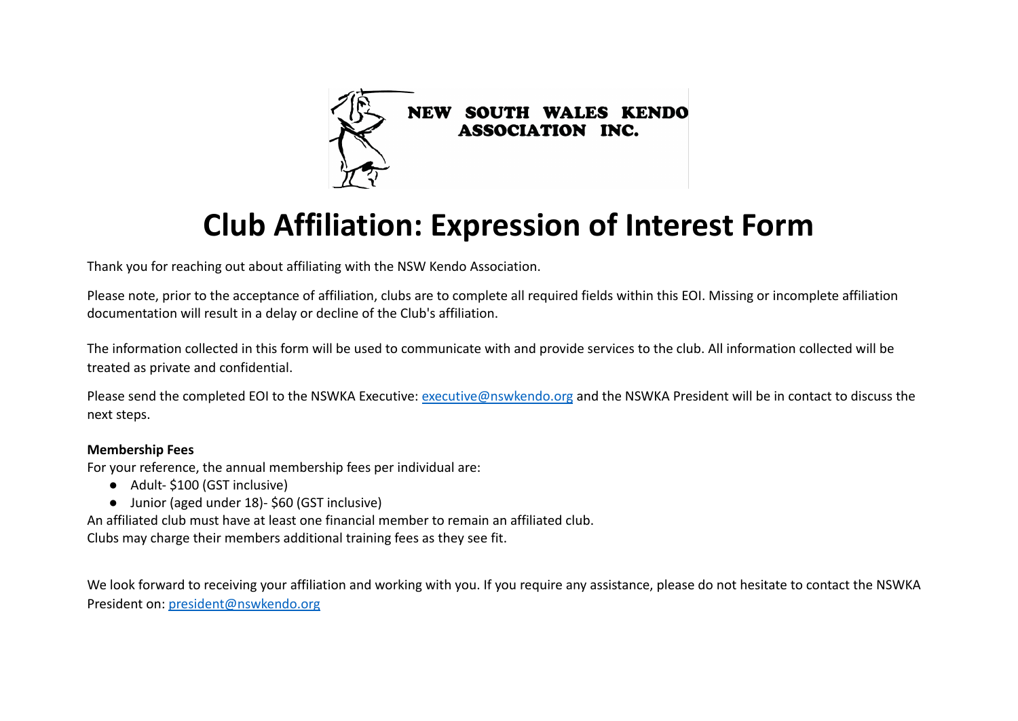

# **Club Affiliation: Expression of Interest Form**

Thank you for reaching out about affiliating with the NSW Kendo Association.

Please note, prior to the acceptance of affiliation, clubs are to complete all required fields within this EOI. Missing or incomplete affiliation documentation will result in a delay or decline of the Club's affiliation.

The information collected in this form will be used to communicate with and provide services to the club. All information collected will be treated as private and confidential.

Please send the completed EOI to the NSWKA Executive: [executive@nswkendo.org](mailto:executive@nswkendo.org) and the NSWKA President will be in contact to discuss the next steps.

#### **Membership Fees**

For your reference, the annual membership fees per individual are:

- Adult-\$100 (GST inclusive)
- Junior (aged under 18)- \$60 (GST inclusive)

An affiliated club must have at least one financial member to remain an affiliated club. Clubs may charge their members additional training fees as they see fit.

We look forward to receiving your affiliation and working with you. If you require any assistance, please do not hesitate to contact the NSWKA President on: [president@nswkendo.org](mailto:president@nswkendo.org)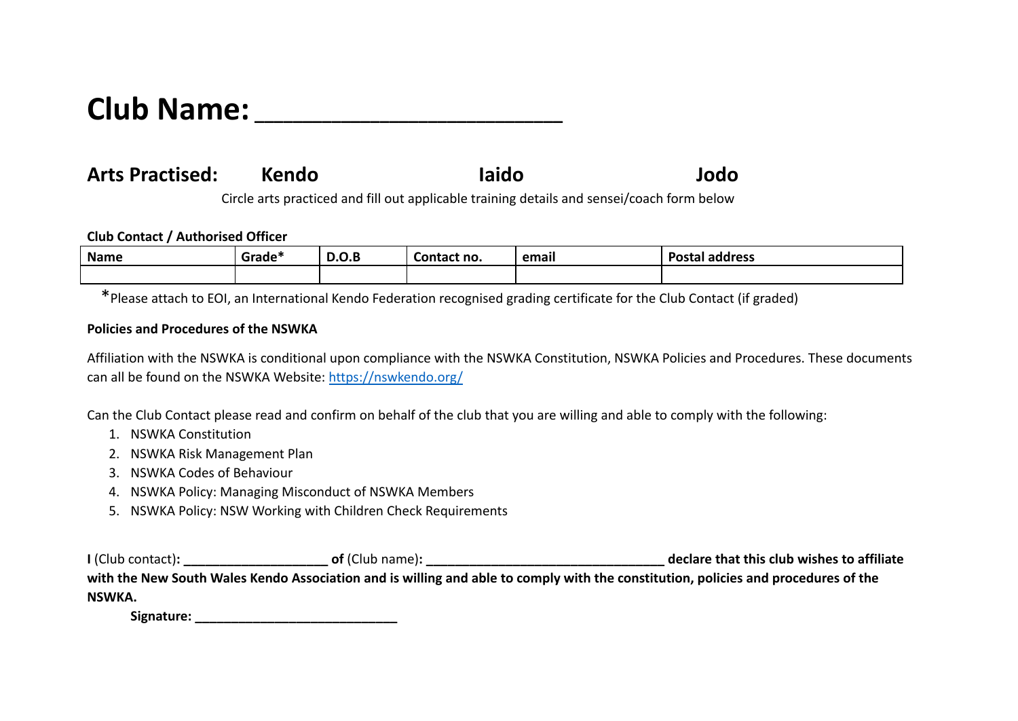## **Club Name: \_\_\_\_\_\_\_\_\_\_\_\_\_\_\_\_\_\_\_\_\_\_\_\_\_\_\_\_\_\_\_\_**

## **Arts Practised: Kendo Iaido Jodo**

Circle arts practiced and fill out applicable training details and sensei/coach form below

#### **Club Contact / Authorised Officer**

| <b>Name</b> | --<br>-<br>Grade* | $\bigcap$<br>D.O.B | Contact no. | email | <b>Postal</b><br>  address |
|-------------|-------------------|--------------------|-------------|-------|----------------------------|
|             |                   |                    |             |       |                            |

\*Please attach to EOI, an International Kendo Federation recognised grading certificate for the Club Contact (if graded)

#### **Policies and Procedures of the NSWKA**

Affiliation with the NSWKA is conditional upon compliance with the NSWKA Constitution, NSWKA Policies and Procedures. These documents can all be found on the NSWKA Website: <https://nswkendo.org/>

Can the Club Contact please read and confirm on behalf of the club that you are willing and able to comply with the following:

- 1. NSWKA Constitution
- 2. NSWKA Risk Management Plan
- 3. NSWKA Codes of Behaviour
- 4. NSWKA Policy: Managing Misconduct of NSWKA Members
- 5. NSWKA Policy: NSW Working with Children Check Requirements

**I** (Club contact)**: \_\_\_\_\_\_\_\_\_\_\_\_\_\_\_\_\_\_\_\_ of** (Club name)**: \_\_\_\_\_\_\_\_\_\_\_\_\_\_\_\_\_\_\_\_\_\_\_\_\_\_\_\_\_\_\_\_\_ declare that this club wishes to affiliate with the New South Wales Kendo Association and is willing and able to comply with the constitution, policies and procedures of the NSWKA.**

Signature: <u>\_\_\_\_\_\_\_\_\_\_\_\_\_\_\_\_\_\_\_\_\_\_\_</u>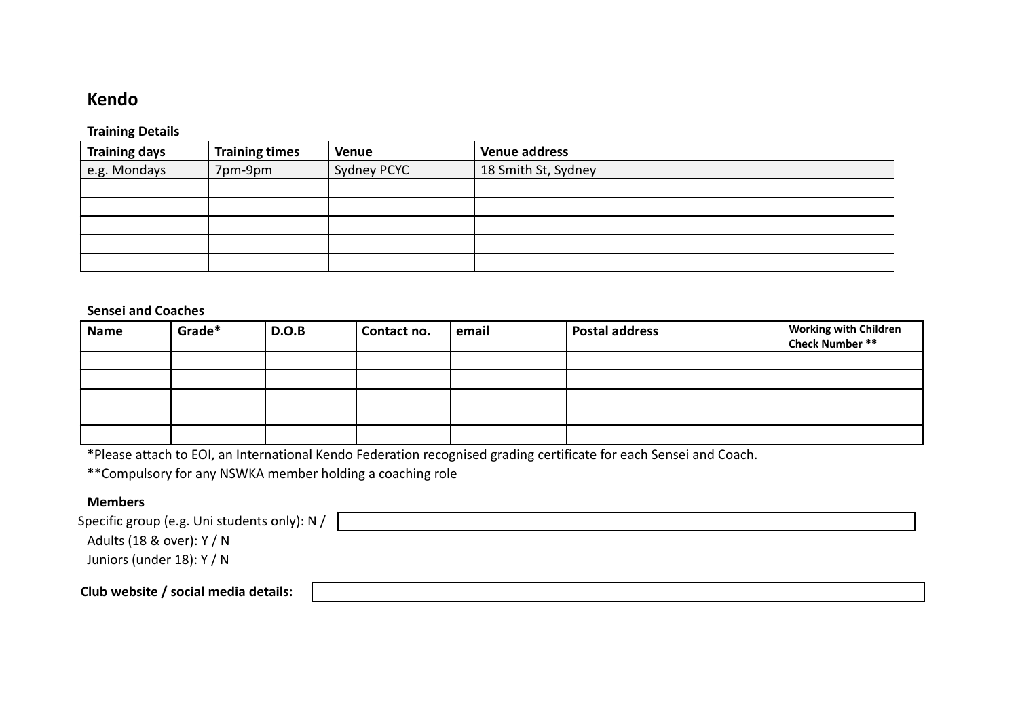### **Kendo**

#### **Training Details**

| <b>Training days</b> | <b>Training times</b> | <b>Venue</b> | <b>Venue address</b> |
|----------------------|-----------------------|--------------|----------------------|
| e.g. Mondays         | 7pm-9pm               | Sydney PCYC  | 18 Smith St, Sydney  |
|                      |                       |              |                      |
|                      |                       |              |                      |
|                      |                       |              |                      |
|                      |                       |              |                      |
|                      |                       |              |                      |

#### **Sensei and Coaches**

| <b>Name</b> | Grade* | D.O.B | Contact no. | email | <b>Postal address</b> | Working with Children<br>Check Number ** |
|-------------|--------|-------|-------------|-------|-----------------------|------------------------------------------|
|             |        |       |             |       |                       |                                          |
|             |        |       |             |       |                       |                                          |
|             |        |       |             |       |                       |                                          |
|             |        |       |             |       |                       |                                          |
|             |        |       |             |       |                       |                                          |

\*Please attach to EOI, an International Kendo Federation recognised grading certificate for each Sensei and Coach.

\*\*Compulsory for any NSWKA member holding a coaching role

#### **Members**

| Specific group (e.g. Uni students only): N / |  |
|----------------------------------------------|--|
| Adults (18 & over): Y / N                    |  |
| Juniors (under 18): Y / N                    |  |
| Club website / social media details:         |  |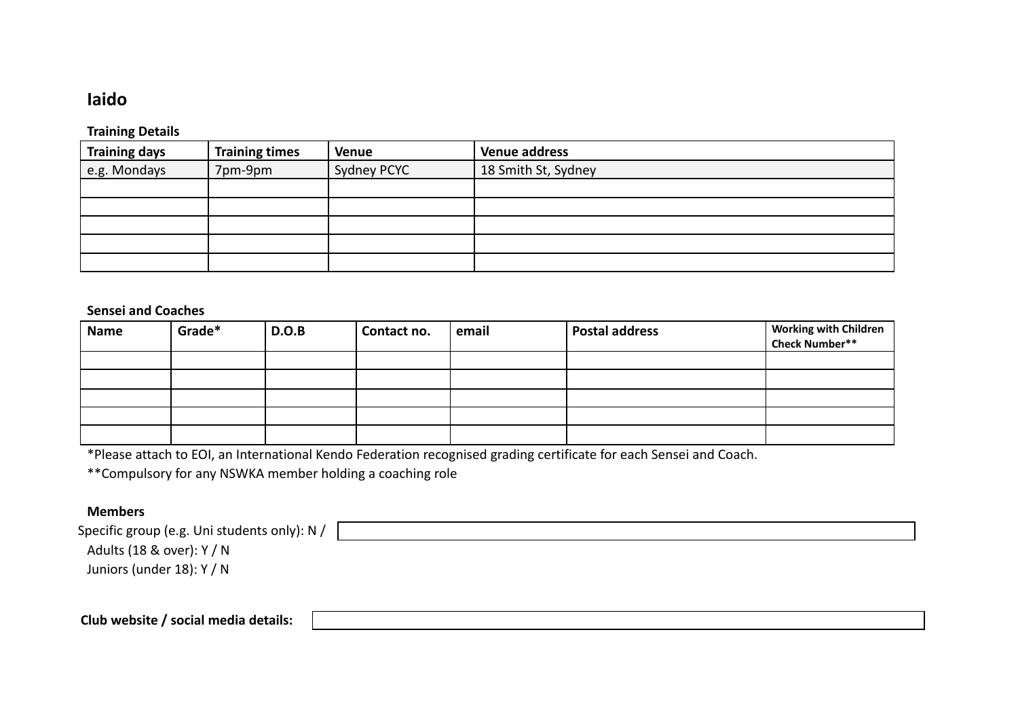## **Iaido**

#### **Training Details**

| <b>Training days</b> | <b>Training times</b> | <b>Venue</b> | <b>Venue address</b> |
|----------------------|-----------------------|--------------|----------------------|
| e.g. Mondays         | 7pm-9pm               | Sydney PCYC  | 18 Smith St, Sydney  |
|                      |                       |              |                      |
|                      |                       |              |                      |
|                      |                       |              |                      |
|                      |                       |              |                      |
|                      |                       |              |                      |

#### **Sensei and Coaches**

| Name | Grade* | D.O.B | Contact no. | email | <b>Postal address</b> | Working with Children<br>Check Number** |
|------|--------|-------|-------------|-------|-----------------------|-----------------------------------------|
|      |        |       |             |       |                       |                                         |
|      |        |       |             |       |                       |                                         |
|      |        |       |             |       |                       |                                         |
|      |        |       |             |       |                       |                                         |
|      |        |       |             |       |                       |                                         |

\*Please attach to EOI, an International Kendo Federation recognised grading certificate for each Sensei and Coach.

\*\*Compulsory for any NSWKA member holding a coaching role

#### **Members**

| Specific group (e.g. Uni students only): N / |  |
|----------------------------------------------|--|
| Adults (18 & over): Y / N                    |  |
| Juniors (under 18): Y / N                    |  |
|                                              |  |
|                                              |  |

**Club website / social media details:**